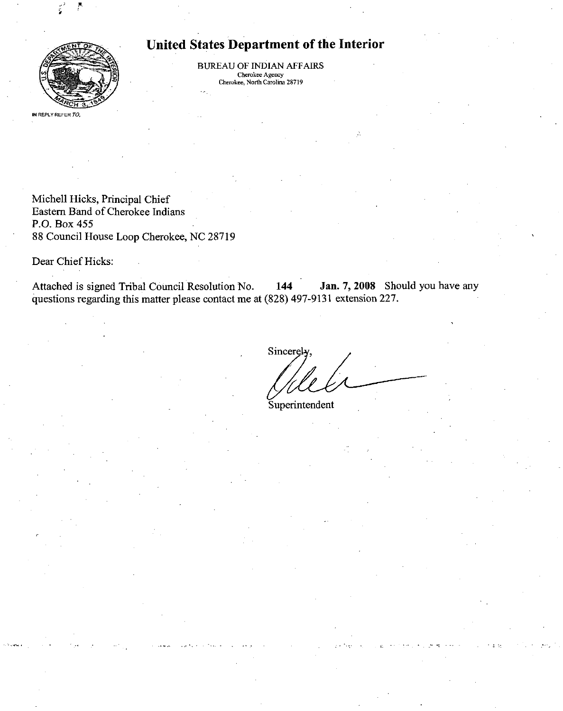

# United States Department of the Interior

BUREAU OF INDIAN AFFAIRS Cherokee Agency Cherokee, North Carohna 28719

Michell Hicks, Principal Chief Eastem Band of Cherokee Indians P.O. Box 455 88 Council House Loop Cherokee, NC 28719

Dear Chief Hicks:

Attached is signed Tribal Council Resolution No. 144 Jan. 7, 2008 Should you have any questions regarding this matter please contact me at (828) 497-9131 extension 227.

Sincerely

Superintendent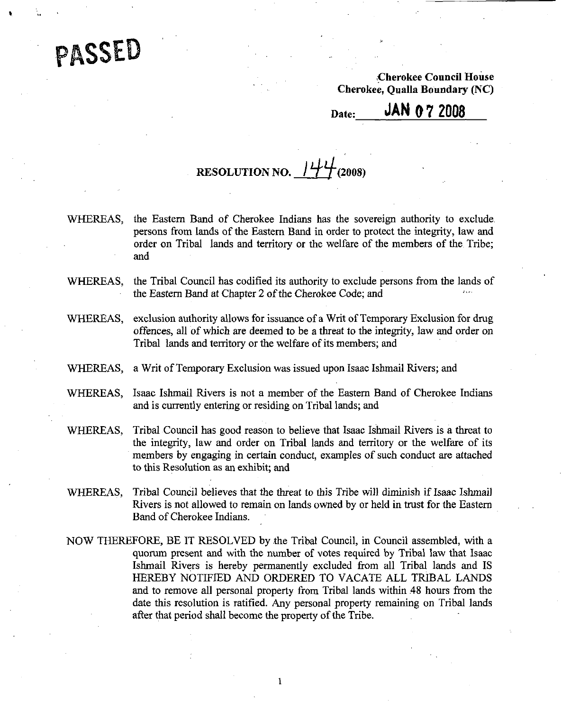PASSED

Cherokee Council House Cherokee, Qualla Boundary (NC)

Date: **JAN 0 7 2008** 

# RESOLUTION NO.  $144$  (2008)

- WHEREAS, the Eastem Band of Cherokee Indians has the sovereign authority to exclude persons from lands of the Eastem Band in order to protect the integrity, law and order on Tribal lands and territory or the welfare of the members of the Tribe; and
- WHEREAS, the Tribal Council has codified its authority to exclude persons from the lands of the Eastern Band at Chapter 2 of the Cherokee Code; and
- WHEREAS, exclusion authority allows for issuance of a Writ of Temporary Exclusion for drug offences, all of which are deemed to be a threat to the integrity, law and order on Tribal lands and territory or the welfare of its members; and
- WHEREAS, a Writ of Temporary Exclusion was issued upon Isaac Ishmail Rivers; and
- WHEREAS, Isaac Ishmail Rivers is not a member of the Eastem Band of Cherokee Indians and is currently entering or residing on Tribal lands; and
- WHEREAS, Tribal Council has good reason to believe that Isaac Ishmail Rivers is a threat to the integrity, law and order on Tribal lands and territory or the welfare of its members by engaging in certain conduct, examples of such conduct are attached to this Resolution as an exhibit; and
- WHEREAS, Tribal Council believes that the threat to this Tribe will diminish if Isaac Ishmail Rivers is not allowed to remain on lands owned by or held in tmst for the Eastem Band of Cherokee Indians.
- NOW THEREFORE, BE IT RESOLVED by the Tribal Council, in Council assembled, with a quorum present and with the number of votes required by Tribal law that Isaac Ishmail Rivers is hereby permanently excluded from all Tribal lands and IS HEREBY NOTIFIED AND ORDERED TO VACATE ALL TRIBAL LANDS and to remove all personal property from Tribal lands within 48 hours from the date this resolution is ratified. Any personal property remaining on Tribal lands after that period shall become the property of the Tribe.

 $\mathbf{l}$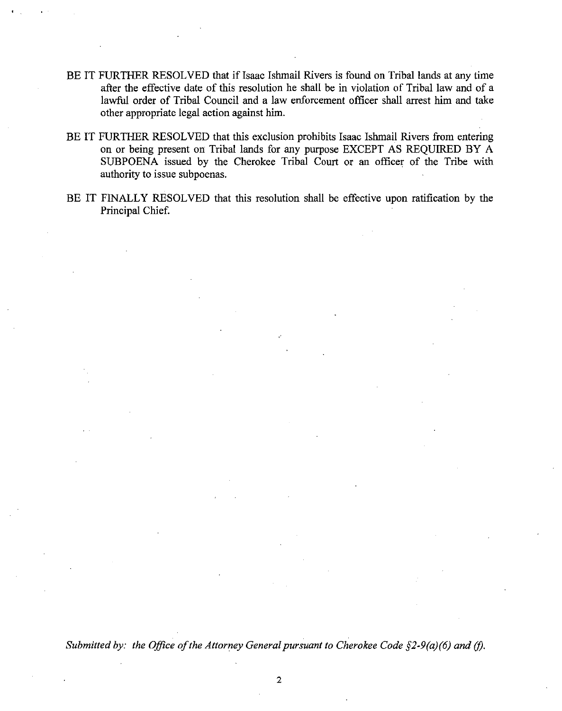- BE IT FURTHER RESOLVED that if Isaac Ishmail Rivers is found on Tribal lands at any time after the effective date of this resolution he shall be in violation of Tribal law and of a lawful order of Tribal Council and a law enforcement officer shall arrest him and take other appropriate legal action against him.
- BE IT FURTHER RESOLVED that this exclusion prohibits Isaac Ishmail Rivers from entering on or being present on Tribal lands for any purpose EXCEPT AS REQUIRED BY A SUBPOENA issued by the Cherokee Tribal Court or an officer of the Tribe with authority to issue subpoenas.
- BE IT FINALLY RESOLVED that this resolution shall be effective upon ratification by the Principal Chief

Submitted by: the Office of the Attorney General pursuant to Cherokee Code  $\S$ 2-9(a)(6) and (f).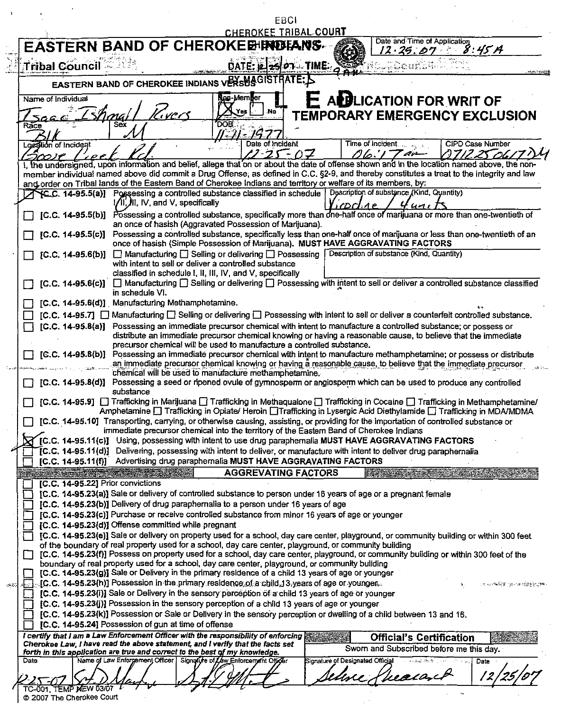|                                                                                                                                                               |                                                      |                                                                                                                                                                                                                                                           | EBCI                                 |                                  |                                           |                                                |
|---------------------------------------------------------------------------------------------------------------------------------------------------------------|------------------------------------------------------|-----------------------------------------------------------------------------------------------------------------------------------------------------------------------------------------------------------------------------------------------------------|--------------------------------------|----------------------------------|-------------------------------------------|------------------------------------------------|
|                                                                                                                                                               |                                                      |                                                                                                                                                                                                                                                           | <b>CHEROKEE TRIBAL COURT</b>         |                                  | Date and Time of Application              |                                                |
| <b>EASTERN BAND OF CHEROKEE INDIANS</b>                                                                                                                       |                                                      |                                                                                                                                                                                                                                                           |                                      |                                  | 12.25.07                                  | 8:45A                                          |
| Tribal Council                                                                                                                                                |                                                      |                                                                                                                                                                                                                                                           | DATE: $2501$ TIME: $95$              |                                  |                                           |                                                |
|                                                                                                                                                               |                                                      | <b>EASTERN BAND OF CHEROKEE INDIANS VERSUS GISTRATE.</b>                                                                                                                                                                                                  |                                      |                                  |                                           |                                                |
| Name of Individual                                                                                                                                            |                                                      | <b>Nep-Member</b>                                                                                                                                                                                                                                         |                                      |                                  |                                           |                                                |
|                                                                                                                                                               | T. vers                                              | Yes                                                                                                                                                                                                                                                       | .No                                  |                                  | E A <b>B</b> LICATION FOR WRIT OF         |                                                |
| ≺асе                                                                                                                                                          | Sex                                                  | DOB.                                                                                                                                                                                                                                                      |                                      |                                  | <b>TEMPORARY EMERGENCY EXCLUSION</b>      |                                                |
|                                                                                                                                                               |                                                      | 1-71 - 197                                                                                                                                                                                                                                                |                                      |                                  |                                           |                                                |
| Lozation of Incident                                                                                                                                          |                                                      |                                                                                                                                                                                                                                                           | Date of Incident<br>$2 - 25$<br>- 07 |                                  | Time of Incident.<br>06'I T ar            | <b>CIPD Case Number</b>                        |
| T<br>I, the undersigned, upon information and belief, allege that on or about the date of offense shown and in the location named above, the non-             |                                                      |                                                                                                                                                                                                                                                           |                                      |                                  |                                           |                                                |
| member individual named above did commit a Drug Offense, as defined in C.C. §2-9, and thereby constitutes a treat to the integrity and law                    |                                                      |                                                                                                                                                                                                                                                           |                                      |                                  |                                           |                                                |
| and order on Tribal lands of the Eastern Band of Cherokee Indians and territory or welfare of its members, by:                                                |                                                      | YC.C. 14-95.5(a)] Possessing a controlled substance classified in schedule   Description of substance (Kind, Quantity)                                                                                                                                    |                                      |                                  |                                           |                                                |
|                                                                                                                                                               | 1/II, IV, and V, specifically                        |                                                                                                                                                                                                                                                           |                                      | (DCLAP                           |                                           |                                                |
|                                                                                                                                                               |                                                      | [C.C. 14-95.5(b)] Possessing a controlled substance, specifically more than one-half once of marijuana or more than one-twentieth of<br>an once of hasish (Aggravated Possession of Marijuana).                                                           |                                      |                                  |                                           |                                                |
| $[C.C. 14-95.5(c)]$                                                                                                                                           |                                                      | Possessing a controlled substance, specifically less than one-half once of marijuana or less than one-twentieth of an                                                                                                                                     |                                      |                                  |                                           |                                                |
|                                                                                                                                                               |                                                      | once of hasish (Simple Possession of Marijuana). MUST HAVE AGGRAVATING FACTORS                                                                                                                                                                            |                                      |                                  |                                           |                                                |
|                                                                                                                                                               |                                                      | [C.C. 14-95.6(b)] $\Box$ Manufacturing $\Box$ Selling or delivering $\Box$ Possessing<br>with intent to sell or deliver a controlled substance                                                                                                            |                                      |                                  | Description of substance (Kind, Quantity) |                                                |
|                                                                                                                                                               |                                                      | classified in schedule I, II, III, IV, and V, specifically                                                                                                                                                                                                |                                      |                                  |                                           |                                                |
|                                                                                                                                                               | in schedule VI.                                      | [C.C. 14-95.6(c)] □ Manufacturing □ Selling or delivering □ Possessing with intent to sell or deliver a controlled substance classified                                                                                                                   |                                      |                                  |                                           |                                                |
|                                                                                                                                                               | [C.C. 14-95.6(d)] Manufacturing Methamphetamine.     |                                                                                                                                                                                                                                                           |                                      |                                  |                                           |                                                |
|                                                                                                                                                               |                                                      | [C.C. 14-95.7] □ Manufacturing □ Selling or delivering □ Possessing with intent to sell or deliver a counterfeit controlled substance.                                                                                                                    |                                      |                                  |                                           |                                                |
| [C.C. 14-95.8(a)] Possessing an immediate precursor chemical with intent to manufacture a controlled substance; or possess or                                 |                                                      |                                                                                                                                                                                                                                                           |                                      |                                  |                                           |                                                |
|                                                                                                                                                               |                                                      |                                                                                                                                                                                                                                                           |                                      |                                  |                                           |                                                |
|                                                                                                                                                               |                                                      | distribute an immediate precursor chemical knowing or having a reasonable cause, to believe that the immediate                                                                                                                                            |                                      |                                  |                                           |                                                |
| $[C.C. 14-95.8(b)]$                                                                                                                                           |                                                      | precursor chemical will be used to manufacture a controlled substance.<br>Possessing an immediate precursor chemical with intent to manufacture methamphetamine; or possess or distribute                                                                 |                                      |                                  |                                           |                                                |
|                                                                                                                                                               |                                                      | an immediate precursor chemical knowing or having a reasonable cause, to believe that the immediate precursor                                                                                                                                             |                                      |                                  |                                           |                                                |
|                                                                                                                                                               |                                                      | chemical will be used to manufacture methamphetamine.<br>[C.C. 14-95.8(d)] Possessing a seed or ripened ovule of gymnosperm or angiosperm which can be used to produce any controlled                                                                     |                                      |                                  |                                           |                                                |
|                                                                                                                                                               | substance                                            |                                                                                                                                                                                                                                                           |                                      |                                  |                                           |                                                |
| ◯ [C.C. 14-95.9] ◯ Trafficking in Marijuana ◯ Trafficking in Methaqualone ◯ Trafficking in Cocaine ◯ Trafficking in Methamphetamine/                          |                                                      |                                                                                                                                                                                                                                                           |                                      |                                  |                                           |                                                |
|                                                                                                                                                               |                                                      | Amphetamine □ Trafficking in Opiate/ Heroin □ Trafficking in Lysergic Acid Diethylamide □ Trafficking in MDA/MDMA<br>[C.C. 14-95.10] Transporting, carrying, or otherwise causing, assisting, or providing for the importation of controlled substance or |                                      |                                  |                                           |                                                |
|                                                                                                                                                               |                                                      | immediate precursor chemical into the territory of the Eastern Band of Cherokee Indians                                                                                                                                                                   |                                      |                                  |                                           |                                                |
|                                                                                                                                                               |                                                      | [C.C. 14-95.11(c)] Using, possessing with intent to use drug paraphernalia MUST HAVE AGGRAVATING FACTORS<br>[C.C. 14-95.11(d)] Delivering, possessing with intent to deliver, or manufacture with intent to deliver drug paraphernalia                    |                                      |                                  |                                           |                                                |
|                                                                                                                                                               |                                                      | [C.C. 14-95.11(f)] Advertising drug paraphernalia MUST HAVE AGGRAVATING FACTORS                                                                                                                                                                           |                                      |                                  |                                           |                                                |
|                                                                                                                                                               |                                                      |                                                                                                                                                                                                                                                           | <b>AGGREVATING FACTORS</b>           |                                  |                                           |                                                |
| [C.C. 14-95.22] Prior convictions                                                                                                                             |                                                      |                                                                                                                                                                                                                                                           |                                      |                                  |                                           |                                                |
|                                                                                                                                                               |                                                      | [C.C. 14-95.23(a)] Sale or delivery of controlled substance to person under 16 years of age or a pregnant female<br>[C.C. 14-95.23(b)] Delivery of drug paraphernalia to a person under 16 years of age                                                   |                                      |                                  |                                           |                                                |
|                                                                                                                                                               |                                                      | [C.C. 14-95.23(c)] Purchase or receive controlled substance from minor 16 years of age or younger                                                                                                                                                         |                                      |                                  |                                           |                                                |
|                                                                                                                                                               | [C.C. 14-95.23(d)] Offense committed while pregnant  |                                                                                                                                                                                                                                                           |                                      |                                  |                                           |                                                |
|                                                                                                                                                               |                                                      | [C.C. 14-95.23(e)] Sale or delivery on property used for a school, day care center, playground, or community building or within 300 feet<br>of the boundary of real property used for a school, day care center, playground, or community building        |                                      |                                  |                                           |                                                |
|                                                                                                                                                               |                                                      | [C.C. 14-95.23(f)] Possess on property used for a school, day care center, playground, or community building or within 300 feet of the                                                                                                                    |                                      |                                  |                                           |                                                |
|                                                                                                                                                               |                                                      | boundary of real property used for a school, day care center, playground, or community building                                                                                                                                                           |                                      |                                  |                                           |                                                |
|                                                                                                                                                               |                                                      | [C.C. 14-95.23(g)] Sale or Delivery in the primary residence of a child 13 years of age or younger                                                                                                                                                        |                                      |                                  |                                           |                                                |
| $\llbracket\ldots\rrbracket$ [C.C. 14-95.23(h)] Possession in the primary residence of a child 13 years of age or younger.                                    |                                                      | [C.C. 14-95.23(i)] Sale or Delivery in the sensory perception of a child 13 years of age or younger                                                                                                                                                       |                                      |                                  |                                           |                                                |
|                                                                                                                                                               |                                                      | [C.C. 14-95.23(j)] Possession in the sensory perception of a child 13 years of age or younger                                                                                                                                                             |                                      |                                  |                                           |                                                |
|                                                                                                                                                               | [C.C. 14-95.24] Possession of gun at time of offense | [C.C. 14-95.23(k)] Possession or Sale or Delivery in the sensory perception or dwelling of a child between 13 and 16.                                                                                                                                     |                                      |                                  |                                           |                                                |
| I certify that I am a Law Enforcement Officer with the responsibility of enforcing                                                                            |                                                      |                                                                                                                                                                                                                                                           |                                      |                                  | <b>Official's Certification</b>           |                                                |
| Cherokee Law, I have read the above statement, and I verify that the facts set<br>forth in this application are true and correct to the best of my knowledge. |                                                      |                                                                                                                                                                                                                                                           |                                      |                                  | Sworn and Subscribed before me this day.  | ାର ସେ ବର୍ତ୍ତିକୁ କାର୍ଯ୍ୟ ପ୍ରାୟ ପ୍ରାୟ ହେବା ପ୍ରକା |
| Date                                                                                                                                                          |                                                      | Name of Law Enforgement Officer   Signalyre of Law Enforcement Officer                                                                                                                                                                                    |                                      | Signature of Designated Official |                                           | Date                                           |
| TC-001, TEMP MEW 03/07                                                                                                                                        |                                                      |                                                                                                                                                                                                                                                           |                                      |                                  | heargich                                  |                                                |

|  |  |  | © 2007 The Cherokee Court |
|--|--|--|---------------------------|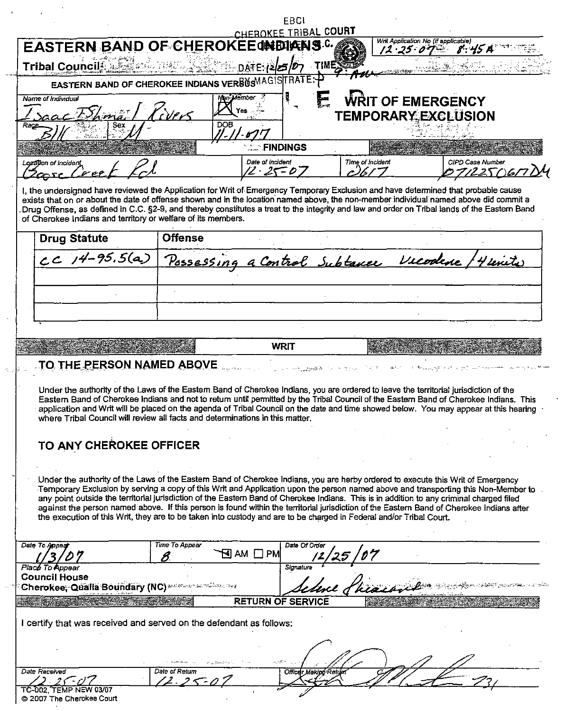|                                                                                                                                                                                                                                                                                                                                                                                                                                                                                                                                                                                                                                                                                         |                                                   |                    | EBCI                               |                               |                                     |                  |
|-----------------------------------------------------------------------------------------------------------------------------------------------------------------------------------------------------------------------------------------------------------------------------------------------------------------------------------------------------------------------------------------------------------------------------------------------------------------------------------------------------------------------------------------------------------------------------------------------------------------------------------------------------------------------------------------|---------------------------------------------------|--------------------|------------------------------------|-------------------------------|-------------------------------------|------------------|
| <b>EASTERN BAND OF CHEROKEE INDIANS.C.</b>                                                                                                                                                                                                                                                                                                                                                                                                                                                                                                                                                                                                                                              |                                                   |                    | CHEROKEE TRIBAL COURT              |                               | Writ Application No (if applicable) |                  |
|                                                                                                                                                                                                                                                                                                                                                                                                                                                                                                                                                                                                                                                                                         |                                                   |                    |                                    |                               | $12.25.07 - 8.45A$                  |                  |
| Tribal Council Malach assess                                                                                                                                                                                                                                                                                                                                                                                                                                                                                                                                                                                                                                                            |                                                   | DATE: (2/25/07     | TIMEY                              |                               |                                     |                  |
|                                                                                                                                                                                                                                                                                                                                                                                                                                                                                                                                                                                                                                                                                         | EASTERN BAND OF CHEROKEE INDIANS VERBUSMAGISTRATE |                    |                                    |                               |                                     |                  |
| Name of Individual                                                                                                                                                                                                                                                                                                                                                                                                                                                                                                                                                                                                                                                                      |                                                   | <b>Yon Member</b>  |                                    |                               | <b>WRIT OF EMERGENCY</b>            |                  |
| $acF_{hm}$                                                                                                                                                                                                                                                                                                                                                                                                                                                                                                                                                                                                                                                                              |                                                   | <b>DOB</b>         |                                    | TEMPORARY EXCLUSION           |                                     |                  |
|                                                                                                                                                                                                                                                                                                                                                                                                                                                                                                                                                                                                                                                                                         |                                                   |                    |                                    |                               |                                     |                  |
|                                                                                                                                                                                                                                                                                                                                                                                                                                                                                                                                                                                                                                                                                         |                                                   |                    | <b>FINDINGS</b>                    |                               |                                     |                  |
| Logalion of incident                                                                                                                                                                                                                                                                                                                                                                                                                                                                                                                                                                                                                                                                    |                                                   |                    | Date of Incident                   | Time of Incident              |                                     | CIPD Case Number |
| $\sqrt{2}$                                                                                                                                                                                                                                                                                                                                                                                                                                                                                                                                                                                                                                                                              |                                                   |                    | 2・25=05                            |                               |                                     | 7122.57)6,       |
| I, the undersigned have reviewed the Application for Writ of Emergency Temporary Exclusion and have determined that probable cause<br>exists that on or about the date of offense shown and in the location named above, the non-member individual named above did commit a<br>Drug Offense, as defined in C.C. §2-9, and thereby constitutes a treat to the integrity and law and order on Tribal lands of the Eastern Band<br>of Cherokee Indians and territory or welfare of its members.                                                                                                                                                                                            |                                                   |                    |                                    |                               |                                     |                  |
| <b>Drug Statute</b>                                                                                                                                                                                                                                                                                                                                                                                                                                                                                                                                                                                                                                                                     | <b>Offense</b>                                    |                    |                                    |                               |                                     |                  |
| $cC$ $14-95.5(a)$                                                                                                                                                                                                                                                                                                                                                                                                                                                                                                                                                                                                                                                                       |                                                   |                    |                                    | Possessing a Control Subtance |                                     |                  |
|                                                                                                                                                                                                                                                                                                                                                                                                                                                                                                                                                                                                                                                                                         |                                                   |                    |                                    |                               |                                     |                  |
|                                                                                                                                                                                                                                                                                                                                                                                                                                                                                                                                                                                                                                                                                         |                                                   |                    |                                    |                               |                                     |                  |
|                                                                                                                                                                                                                                                                                                                                                                                                                                                                                                                                                                                                                                                                                         |                                                   |                    |                                    |                               |                                     |                  |
|                                                                                                                                                                                                                                                                                                                                                                                                                                                                                                                                                                                                                                                                                         |                                                   |                    |                                    |                               |                                     |                  |
|                                                                                                                                                                                                                                                                                                                                                                                                                                                                                                                                                                                                                                                                                         |                                                   |                    |                                    |                               |                                     |                  |
|                                                                                                                                                                                                                                                                                                                                                                                                                                                                                                                                                                                                                                                                                         |                                                   |                    |                                    |                               |                                     |                  |
| TO THE PERSON NAMED ABOVE                                                                                                                                                                                                                                                                                                                                                                                                                                                                                                                                                                                                                                                               |                                                   |                    | WRIT<br>الموارد والمتفهول ومعانيان |                               | かねんし けいさつ レーン                       |                  |
| Under the authority of the Laws of the Eastern Band of Cherokee Indians, you are ordered to leave the territorial jurisdiction of the<br>Eastern Band of Cherokee Indians and not to return until permitted by the Tribal Council of the Eastern Band of Cherokee Indians. This<br>application and Writ will be placed on the agenda of Tribal Council on the date and time showed below. You may appear at this hearing<br>where Tribal Council will review all facts and determinations in this matter.                                                                                                                                                                               |                                                   |                    |                                    |                               |                                     |                  |
|                                                                                                                                                                                                                                                                                                                                                                                                                                                                                                                                                                                                                                                                                         |                                                   |                    |                                    |                               |                                     |                  |
| TO ANY CHEROKEE OFFICER                                                                                                                                                                                                                                                                                                                                                                                                                                                                                                                                                                                                                                                                 |                                                   |                    |                                    |                               |                                     |                  |
|                                                                                                                                                                                                                                                                                                                                                                                                                                                                                                                                                                                                                                                                                         |                                                   |                    |                                    |                               |                                     |                  |
| Under the authority of the Laws of the Eastern Band of Cherokee Indians, you are herby ordered to execute this Writ of Emergency<br>Temporary Exclusion by serving a copy of this Writ and Application upon the person named above and transporting this Non-Member to<br>any point outside the territorial jurisdiction of the Eastern Band of Cherokee Indians. This is in addition to any criminal charged filed<br>against the person named above. If this person is found within the territorial jurisdiction of the Eastern Band of Cherokee Indians after<br>the execution of this Writ, they are to be taken into custody and are to be charged in Federal and/or Tribal Court. |                                                   |                    |                                    |                               |                                     |                  |
|                                                                                                                                                                                                                                                                                                                                                                                                                                                                                                                                                                                                                                                                                         | Time To Appear                                    |                    | Date Of Order                      |                               |                                     |                  |
|                                                                                                                                                                                                                                                                                                                                                                                                                                                                                                                                                                                                                                                                                         |                                                   | AM $\Box$ PM<br>N. |                                    |                               |                                     |                  |
|                                                                                                                                                                                                                                                                                                                                                                                                                                                                                                                                                                                                                                                                                         |                                                   |                    | Signature                          |                               |                                     |                  |
|                                                                                                                                                                                                                                                                                                                                                                                                                                                                                                                                                                                                                                                                                         |                                                   |                    |                                    |                               |                                     |                  |
|                                                                                                                                                                                                                                                                                                                                                                                                                                                                                                                                                                                                                                                                                         |                                                   |                    | <b>RETURN OF SERVICE</b>           |                               |                                     |                  |
|                                                                                                                                                                                                                                                                                                                                                                                                                                                                                                                                                                                                                                                                                         |                                                   |                    |                                    |                               |                                     |                  |
|                                                                                                                                                                                                                                                                                                                                                                                                                                                                                                                                                                                                                                                                                         |                                                   |                    |                                    |                               |                                     |                  |
|                                                                                                                                                                                                                                                                                                                                                                                                                                                                                                                                                                                                                                                                                         |                                                   |                    |                                    |                               |                                     |                  |
| Date To Appea<br>Place To Appear<br><b>Council House</b><br>I certify that was received and served on the defendant as follows:                                                                                                                                                                                                                                                                                                                                                                                                                                                                                                                                                         |                                                   |                    |                                    |                               |                                     |                  |
| <b>Date Received</b><br>$25 - 117$                                                                                                                                                                                                                                                                                                                                                                                                                                                                                                                                                                                                                                                      | Date of Return                                    |                    | Officer Making Return              |                               |                                     |                  |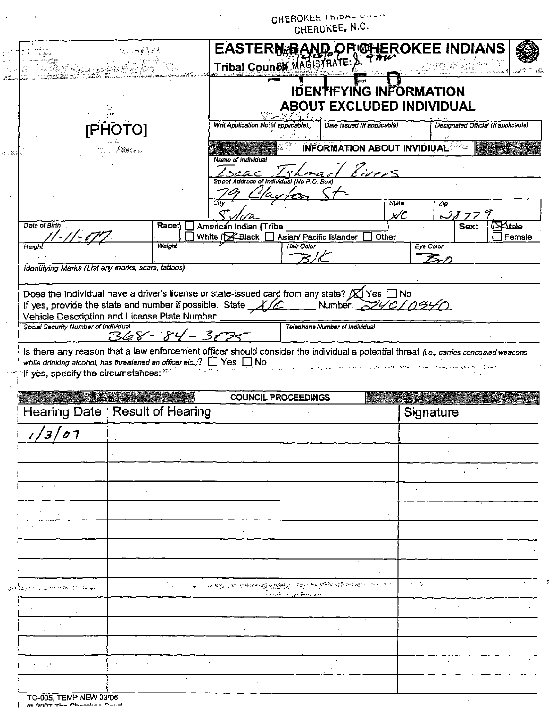|                                                                                                                                                                                                                        |                                  |        |      |                                      |                                                               | CHEROKEE, N.C.                      |                     |                                                                                                 |                          |
|------------------------------------------------------------------------------------------------------------------------------------------------------------------------------------------------------------------------|----------------------------------|--------|------|--------------------------------------|---------------------------------------------------------------|-------------------------------------|---------------------|-------------------------------------------------------------------------------------------------|--------------------------|
|                                                                                                                                                                                                                        | $\gamma_{\rm c}$ , which is $^4$ |        |      |                                      | EASTERN BAND OF GHEROKEE INDIANS<br>Tribal Coun&W MAGISTRATE: |                                     |                     |                                                                                                 |                          |
|                                                                                                                                                                                                                        |                                  |        |      |                                      | IDENTIFYING INFORMATION<br><b>ABOUT EXCLUDED INDIVIDUAL</b>   |                                     |                     |                                                                                                 |                          |
|                                                                                                                                                                                                                        |                                  |        |      | Writ Application No (if applicable). |                                                               | Date Issued (If applicable)         |                     | Designated Official (If applicable)                                                             |                          |
|                                                                                                                                                                                                                        | ساء مند فدايلتك تنسخ             |        |      | Name of Individual                   |                                                               | <b>INFORMATION ABOUT INVIDIUAL:</b> |                     |                                                                                                 |                          |
|                                                                                                                                                                                                                        |                                  |        |      | SCGC                                 | Street Address of Individual (No P.O. Box)                    | Guer5                               |                     |                                                                                                 |                          |
|                                                                                                                                                                                                                        |                                  |        | City |                                      |                                                               |                                     | <b>State</b><br>x/C | Zφ<br><u>38779</u>                                                                              |                          |
| Date of Birth                                                                                                                                                                                                          |                                  | Race:  |      | American Indian (Tribe               | White (Kallack   Asian/ Pacific Islander                      |                                     | Other               | Sex:                                                                                            | <b>EXAdale</b><br>Female |
| Height                                                                                                                                                                                                                 |                                  | Weight |      |                                      | Hair Color                                                    |                                     |                     | Eye Color                                                                                       |                          |
| Identifying Marks (List any marks, scars, tattoos)                                                                                                                                                                     |                                  |        |      |                                      |                                                               |                                     |                     |                                                                                                 |                          |
| Vehicle Description and License Plate Number:<br>Social Security Number of Individual                                                                                                                                  |                                  |        |      |                                      |                                                               |                                     |                     |                                                                                                 |                          |
| Is there any reason that a law enforcement officer should consider the individual a potential threat (i.e., carries concealed weapons<br>while drinking alcohol, has threatened an officer etc.)? $\Box$ Yes $\Box$ No | $368 - 84 - 3895$                |        |      |                                      | Telephone Number of Individual                                |                                     |                     | المحالفها للمسترسطين والمستعدد والمستحقة والمستحق فالمتعاط والمواردين المتحال والمحامل والأرابي |                          |
| If yes, specify the circumstances:                                                                                                                                                                                     |                                  |        |      |                                      | <b>COUNCIL PROCEEDINGS</b>                                    |                                     |                     |                                                                                                 |                          |
| Hearing Date                                                                                                                                                                                                           | <b>Result of Hearing</b>         |        |      |                                      |                                                               |                                     |                     | Signature                                                                                       |                          |
|                                                                                                                                                                                                                        |                                  |        |      |                                      |                                                               |                                     |                     |                                                                                                 |                          |
|                                                                                                                                                                                                                        |                                  |        |      |                                      |                                                               |                                     |                     |                                                                                                 |                          |
|                                                                                                                                                                                                                        |                                  |        |      |                                      |                                                               |                                     |                     |                                                                                                 |                          |
|                                                                                                                                                                                                                        |                                  |        |      |                                      |                                                               |                                     |                     |                                                                                                 |                          |
|                                                                                                                                                                                                                        |                                  |        |      |                                      |                                                               |                                     |                     |                                                                                                 |                          |
|                                                                                                                                                                                                                        |                                  |        |      |                                      |                                                               |                                     |                     |                                                                                                 |                          |
|                                                                                                                                                                                                                        |                                  |        |      |                                      |                                                               |                                     |                     |                                                                                                 |                          |
|                                                                                                                                                                                                                        |                                  |        |      |                                      |                                                               |                                     |                     |                                                                                                 |                          |
|                                                                                                                                                                                                                        |                                  |        |      |                                      |                                                               |                                     |                     |                                                                                                 |                          |
|                                                                                                                                                                                                                        |                                  |        |      |                                      | k <u>o v</u> iših vy <del>slika</del> n er                    |                                     | 16 T 22             |                                                                                                 |                          |
|                                                                                                                                                                                                                        |                                  |        |      |                                      |                                                               |                                     |                     |                                                                                                 |                          |
| gale a ligul monghi (31 ligul)                                                                                                                                                                                         |                                  |        |      |                                      |                                                               |                                     |                     |                                                                                                 |                          |
|                                                                                                                                                                                                                        |                                  |        |      |                                      |                                                               |                                     |                     |                                                                                                 |                          |
| $\mathcal{L}(\mathcal{E}_1)$ , and $\mathcal{E}_2$                                                                                                                                                                     |                                  |        |      |                                      |                                                               |                                     |                     |                                                                                                 |                          |
|                                                                                                                                                                                                                        |                                  |        |      |                                      |                                                               |                                     |                     |                                                                                                 |                          |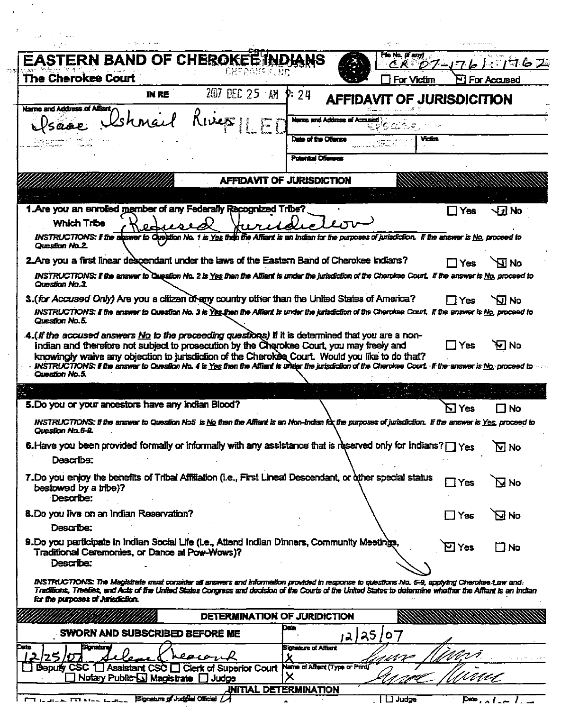|                                                                                                                                                            | <b>EASTERN BAND OF CHEROKET INDIANS</b> |                                                                               | File No. (If any)<br>CR D7-J76                                                                                                                                                                                | 776Z                                                                                                                                                                                                                                                                                                                                                                                                                                                                                                                                                                                                                                                                                                                                                                                                                                                                                                                                                                                                                                                                                                                                                                                                                                                                                                                                                                                                                                                                                                                                                                                     |
|------------------------------------------------------------------------------------------------------------------------------------------------------------|-----------------------------------------|-------------------------------------------------------------------------------|---------------------------------------------------------------------------------------------------------------------------------------------------------------------------------------------------------------|------------------------------------------------------------------------------------------------------------------------------------------------------------------------------------------------------------------------------------------------------------------------------------------------------------------------------------------------------------------------------------------------------------------------------------------------------------------------------------------------------------------------------------------------------------------------------------------------------------------------------------------------------------------------------------------------------------------------------------------------------------------------------------------------------------------------------------------------------------------------------------------------------------------------------------------------------------------------------------------------------------------------------------------------------------------------------------------------------------------------------------------------------------------------------------------------------------------------------------------------------------------------------------------------------------------------------------------------------------------------------------------------------------------------------------------------------------------------------------------------------------------------------------------------------------------------------------------|
| 2017                                                                                                                                                       | <b>P</b> : 24                           |                                                                               | For Victim                                                                                                                                                                                                    | <b>N</b> For Accused                                                                                                                                                                                                                                                                                                                                                                                                                                                                                                                                                                                                                                                                                                                                                                                                                                                                                                                                                                                                                                                                                                                                                                                                                                                                                                                                                                                                                                                                                                                                                                     |
| same Christ River                                                                                                                                          |                                         |                                                                               | Yidin                                                                                                                                                                                                         |                                                                                                                                                                                                                                                                                                                                                                                                                                                                                                                                                                                                                                                                                                                                                                                                                                                                                                                                                                                                                                                                                                                                                                                                                                                                                                                                                                                                                                                                                                                                                                                          |
|                                                                                                                                                            |                                         |                                                                               |                                                                                                                                                                                                               |                                                                                                                                                                                                                                                                                                                                                                                                                                                                                                                                                                                                                                                                                                                                                                                                                                                                                                                                                                                                                                                                                                                                                                                                                                                                                                                                                                                                                                                                                                                                                                                          |
|                                                                                                                                                            |                                         |                                                                               |                                                                                                                                                                                                               |                                                                                                                                                                                                                                                                                                                                                                                                                                                                                                                                                                                                                                                                                                                                                                                                                                                                                                                                                                                                                                                                                                                                                                                                                                                                                                                                                                                                                                                                                                                                                                                          |
|                                                                                                                                                            |                                         |                                                                               | ∐ Yes                                                                                                                                                                                                         | Jel No                                                                                                                                                                                                                                                                                                                                                                                                                                                                                                                                                                                                                                                                                                                                                                                                                                                                                                                                                                                                                                                                                                                                                                                                                                                                                                                                                                                                                                                                                                                                                                                   |
|                                                                                                                                                            |                                         |                                                                               |                                                                                                                                                                                                               |                                                                                                                                                                                                                                                                                                                                                                                                                                                                                                                                                                                                                                                                                                                                                                                                                                                                                                                                                                                                                                                                                                                                                                                                                                                                                                                                                                                                                                                                                                                                                                                          |
|                                                                                                                                                            |                                         |                                                                               | $\Box$ Yes                                                                                                                                                                                                    | ᇒ                                                                                                                                                                                                                                                                                                                                                                                                                                                                                                                                                                                                                                                                                                                                                                                                                                                                                                                                                                                                                                                                                                                                                                                                                                                                                                                                                                                                                                                                                                                                                                                        |
|                                                                                                                                                            |                                         |                                                                               | ∏ Yes                                                                                                                                                                                                         | N IV                                                                                                                                                                                                                                                                                                                                                                                                                                                                                                                                                                                                                                                                                                                                                                                                                                                                                                                                                                                                                                                                                                                                                                                                                                                                                                                                                                                                                                                                                                                                                                                     |
|                                                                                                                                                            |                                         |                                                                               | $\square$ Yes                                                                                                                                                                                                 | ਆ No                                                                                                                                                                                                                                                                                                                                                                                                                                                                                                                                                                                                                                                                                                                                                                                                                                                                                                                                                                                                                                                                                                                                                                                                                                                                                                                                                                                                                                                                                                                                                                                     |
|                                                                                                                                                            |                                         |                                                                               |                                                                                                                                                                                                               |                                                                                                                                                                                                                                                                                                                                                                                                                                                                                                                                                                                                                                                                                                                                                                                                                                                                                                                                                                                                                                                                                                                                                                                                                                                                                                                                                                                                                                                                                                                                                                                          |
| 5. Do you or your ancestors have any indian Blood?                                                                                                         |                                         |                                                                               | NI Yes                                                                                                                                                                                                        | No                                                                                                                                                                                                                                                                                                                                                                                                                                                                                                                                                                                                                                                                                                                                                                                                                                                                                                                                                                                                                                                                                                                                                                                                                                                                                                                                                                                                                                                                                                                                                                                       |
|                                                                                                                                                            |                                         |                                                                               |                                                                                                                                                                                                               |                                                                                                                                                                                                                                                                                                                                                                                                                                                                                                                                                                                                                                                                                                                                                                                                                                                                                                                                                                                                                                                                                                                                                                                                                                                                                                                                                                                                                                                                                                                                                                                          |
|                                                                                                                                                            |                                         |                                                                               |                                                                                                                                                                                                               | $\overline{\mathbf{M}}$ No                                                                                                                                                                                                                                                                                                                                                                                                                                                                                                                                                                                                                                                                                                                                                                                                                                                                                                                                                                                                                                                                                                                                                                                                                                                                                                                                                                                                                                                                                                                                                               |
|                                                                                                                                                            |                                         |                                                                               |                                                                                                                                                                                                               |                                                                                                                                                                                                                                                                                                                                                                                                                                                                                                                                                                                                                                                                                                                                                                                                                                                                                                                                                                                                                                                                                                                                                                                                                                                                                                                                                                                                                                                                                                                                                                                          |
|                                                                                                                                                            |                                         |                                                                               | $\Box$ Yes                                                                                                                                                                                                    | $\mathbf \Xi$ No                                                                                                                                                                                                                                                                                                                                                                                                                                                                                                                                                                                                                                                                                                                                                                                                                                                                                                                                                                                                                                                                                                                                                                                                                                                                                                                                                                                                                                                                                                                                                                         |
|                                                                                                                                                            |                                         |                                                                               | $\Box$ Yes                                                                                                                                                                                                    | on 12                                                                                                                                                                                                                                                                                                                                                                                                                                                                                                                                                                                                                                                                                                                                                                                                                                                                                                                                                                                                                                                                                                                                                                                                                                                                                                                                                                                                                                                                                                                                                                                    |
|                                                                                                                                                            |                                         |                                                                               |                                                                                                                                                                                                               |                                                                                                                                                                                                                                                                                                                                                                                                                                                                                                                                                                                                                                                                                                                                                                                                                                                                                                                                                                                                                                                                                                                                                                                                                                                                                                                                                                                                                                                                                                                                                                                          |
| Traditional Ceremonies, or Dance at Pow-Wows)?                                                                                                             |                                         |                                                                               | $\boxdot$ Yes                                                                                                                                                                                                 | $\Box$ No                                                                                                                                                                                                                                                                                                                                                                                                                                                                                                                                                                                                                                                                                                                                                                                                                                                                                                                                                                                                                                                                                                                                                                                                                                                                                                                                                                                                                                                                                                                                                                                |
|                                                                                                                                                            |                                         |                                                                               | INSTRUCTIONS: The Magistrate must consider all answers and information provided in response to questions No. 5-9, applying Cherokee-Law and.                                                                  |                                                                                                                                                                                                                                                                                                                                                                                                                                                                                                                                                                                                                                                                                                                                                                                                                                                                                                                                                                                                                                                                                                                                                                                                                                                                                                                                                                                                                                                                                                                                                                                          |
| Traditions, Treafies, and Acts of the United States Congress and decision of the Courts of the United States to determine whether the Affiant is an Indian |                                         |                                                                               |                                                                                                                                                                                                               |                                                                                                                                                                                                                                                                                                                                                                                                                                                                                                                                                                                                                                                                                                                                                                                                                                                                                                                                                                                                                                                                                                                                                                                                                                                                                                                                                                                                                                                                                                                                                                                          |
| DETERMINATION OF JURIDICTION                                                                                                                               |                                         |                                                                               |                                                                                                                                                                                                               |                                                                                                                                                                                                                                                                                                                                                                                                                                                                                                                                                                                                                                                                                                                                                                                                                                                                                                                                                                                                                                                                                                                                                                                                                                                                                                                                                                                                                                                                                                                                                                                          |
| SWORN AND SUBSCRIBED BEFORE ME                                                                                                                             | Date                                    | 12/25/07                                                                      |                                                                                                                                                                                                               |                                                                                                                                                                                                                                                                                                                                                                                                                                                                                                                                                                                                                                                                                                                                                                                                                                                                                                                                                                                                                                                                                                                                                                                                                                                                                                                                                                                                                                                                                                                                                                                          |
|                                                                                                                                                            |                                         | DEC 25 AM<br>1. Are you an enrolled member of any Federally Recognized Tribe? | Name and Address of Accused<br>Date of the Oliansa<br>Polential Ofienses<br><b>AFFIDAVIT OF JURISDICTION</b><br>9. Do you participate in Indian Social Life (i.e., Attend Indian Dinners, Community Meetings, | AFFIDAVIT OF JURISDICITION<br>INSTRUCTIONS: If the abswer to Question No. 1 is Yes then the Affiant is an Indian for the purposes of jurisdiction. If the answer is No. proceed to<br>2. Are you a first linear descendant under the laws of the Eastern Band of Cherokee Indians?<br>INSTRUCTIONS: If the answer to Crussion No. 2 is Yes then the Affiant is under the jurisdiction of the Charokee Court. If the answer is No, proceed to<br>3. (for Accused Only) Are you a citizen of any country other than the United States of America?<br>INSTRUCTIONS: If the answer to Question No. 3 is Yes then the Affiant is under the jurisdiction of the Cherokee Court. If the answer is No, proceed to.<br>$A.($ if the accused answers $\underline{Mo}$ to the preceeding questions) If it is determined that you are a non-<br>Indian and therefore not subject to prosecution by the Charokee Court, you may freely and<br>knowingly waive any objection to jurisdiction of the Cherokee Court. Would you like to do that?<br>INSTRUCTIONS: If the answer to Question No. 4 is Yes then the Affiant is under the jurisdiction of the Cherokee Court. If the answer is No, proceed to<br>INSTRUCTIONS: If the answer to Question No5 is No than the Affiant is an Non-Indian for the purposes of jurisdiction. If the answer is Yes, proceed to<br>6. Have you been provided formally or informally with any assistance that is reserved only for Indians? $\Box$ Yes<br>7. Do you enjoy the benefits of Tribal Affiliation (i.e., First Lineal Descendant, or other special status |

 $\mathcal{A}$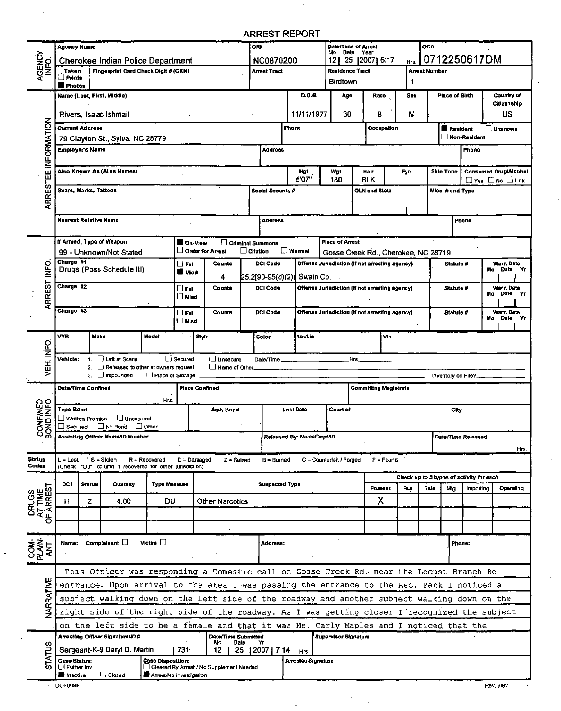# ARREST REPORT

 $\overline{a}$ 

|                               | <b>Agency Name</b>                  |                    |                                                                                               |                          |                      |                                             | ORI             |                                   |                           | Mo Date Year             | Date/Time of Arrest                            |             |            | OCA           |                       |                                          |                                 |      |
|-------------------------------|-------------------------------------|--------------------|-----------------------------------------------------------------------------------------------|--------------------------|----------------------|---------------------------------------------|-----------------|-----------------------------------|---------------------------|--------------------------|------------------------------------------------|-------------|------------|---------------|-----------------------|------------------------------------------|---------------------------------|------|
|                               |                                     |                    | Cherokee Indian Police Department                                                             |                          |                      |                                             |                 | <b>NC0870200</b>                  |                           | 12                       | 25   2007   6:17                               |             | Hrs.       |               |                       | 0712250617DM                             |                                 |      |
| AGENCY<br>INFO.               | Taken                               |                    | Fingerprint Card Check Digit # (CKN)                                                          |                          |                      |                                             |                 | <b>Arrest Tract</b>               |                           | Residence Tract          |                                                |             |            | Arrest Number |                       |                                          |                                 |      |
|                               | $\Box$ Prints<br><b>Photos</b>      |                    |                                                                                               |                          |                      |                                             |                 |                                   |                           | <b>Birdtown</b>          |                                                |             | 1          |               |                       |                                          |                                 |      |
|                               |                                     |                    | Name (Last, First, Middle)                                                                    |                          |                      |                                             |                 |                                   | D.O.B.                    | Age                      |                                                | Race        | <b>Sex</b> |               | <b>Place of Birth</b> |                                          | Country of                      |      |
|                               |                                     |                    |                                                                                               |                          |                      |                                             |                 |                                   |                           |                          |                                                |             |            |               |                       |                                          | Citizenship                     |      |
|                               |                                     |                    | Rivers, Isaac Ishmail                                                                         |                          |                      |                                             |                 |                                   | 11/11/1977                | 30                       |                                                | в           | М          |               |                       |                                          | บร                              |      |
|                               | <b>Current Address</b>              |                    |                                                                                               |                          |                      |                                             |                 |                                   | Phone                     |                          |                                                | Occupation  |            |               | <b>Resident</b>       |                                          | J Unknown                       |      |
|                               |                                     |                    | 79 Clayton St., Sylva, NC 28779                                                               |                          |                      |                                             |                 |                                   |                           |                          |                                                |             |            |               |                       | Non-Resident                             |                                 |      |
|                               | Employer's Name                     |                    |                                                                                               |                          |                      |                                             |                 | <b>Address</b>                    |                           |                          |                                                |             |            |               |                       | Phone                                    |                                 |      |
|                               |                                     |                    |                                                                                               |                          |                      |                                             |                 |                                   |                           |                          |                                                |             |            |               |                       |                                          |                                 |      |
|                               |                                     |                    | Also Known As (Allas Names)                                                                   |                          |                      |                                             |                 |                                   | Hgt                       | Wgt                      | Halt                                           |             | Eye        |               | <b>Skin Tone</b>      |                                          | <b>Consumed Drug/Alcohol</b>    |      |
| ARRESTEE INFORMATION          |                                     |                    |                                                                                               |                          |                      |                                             |                 |                                   | 5'07"                     | 180                      | <b>BLK</b>                                     |             |            |               |                       |                                          | $\Box$ Yes $\Box$ No $\Box$ Unk |      |
|                               |                                     |                    | Scars, Marks, Tattoos                                                                         |                          |                      |                                             |                 | Social Security #                 |                           |                          | <b>OLN and State</b>                           |             |            |               | Misc. # and Type      |                                          |                                 |      |
|                               |                                     |                    |                                                                                               |                          |                      |                                             |                 |                                   |                           |                          |                                                |             |            |               |                       |                                          |                                 |      |
|                               |                                     |                    |                                                                                               |                          |                      |                                             |                 |                                   |                           |                          |                                                |             |            |               |                       |                                          |                                 |      |
|                               |                                     |                    | <b>Nearest Relative Name</b>                                                                  |                          |                      |                                             |                 | <b>Address</b>                    |                           |                          |                                                |             |            |               |                       | Phone                                    |                                 |      |
|                               |                                     |                    | If Armed, Type of Weapon                                                                      |                          | On View              |                                             |                 | Criminal Summons                  |                           | <b>Place of Arrest</b>   |                                                |             |            |               |                       |                                          |                                 |      |
|                               |                                     |                    | 99 - Unknown/Not Stated                                                                       |                          |                      | Order for Arrest                            | $\Box$ Citation |                                   | $\square$ Warrant         |                          | Gosse Creek Rd., Cherokee, NC 28719            |             |            |               |                       |                                          |                                 |      |
|                               | Charge #1                           |                    |                                                                                               |                          | $\Box$ FeI           | Counts                                      |                 | <b>DCI Code</b>                   |                           |                          | Offense Jurisdiction (If not arresting agency) |             |            |               | Statute #             |                                          | Warr, Date                      |      |
| D<br>MFO                      |                                     |                    | Drugs (Poss Schedule III)                                                                     |                          | <b>Misd</b>          |                                             |                 |                                   | Swain Co.                 |                          |                                                |             |            |               |                       |                                          | Mo Date Yr                      |      |
|                               | Charge #2                           |                    |                                                                                               |                          | $\square$ Fel        | 4<br>Counts                                 |                 | (25.2[90-95(d)<br><b>DCI Code</b> |                           |                          | Offense Jurisdiction (if not arresting agency) |             |            |               | Statute #             |                                          | Warr. Date                      |      |
| ARREST                        |                                     |                    |                                                                                               |                          | $\square$ Misd       |                                             |                 |                                   |                           |                          |                                                |             |            |               |                       |                                          | Mo Date                         | - Yr |
|                               | Charge #3                           |                    |                                                                                               |                          |                      |                                             |                 |                                   |                           |                          |                                                |             |            |               |                       |                                          |                                 |      |
|                               |                                     |                    |                                                                                               |                          | $\Box$ Fel<br>∟ Misd | Counts                                      |                 | <b>DCI Code</b>                   |                           |                          | Offense Jurisdiction (if not arresting agency) |             |            |               | Statute #             |                                          | Warr. Date<br>Mo Date           | - Yr |
|                               |                                     |                    |                                                                                               |                          |                      |                                             |                 |                                   |                           |                          |                                                |             |            |               |                       |                                          |                                 |      |
|                               | VYR                                 |                    | <b>Make</b>                                                                                   | Model                    |                      | Style                                       |                 | Color                             | Lic/Lis                   |                          |                                                | Vin         |            |               |                       |                                          |                                 |      |
|                               |                                     |                    |                                                                                               |                          |                      |                                             |                 |                                   |                           |                          |                                                |             |            |               |                       |                                          |                                 |      |
| VEH INFO                      | Vehicle:                            | $\mathbf{1}$<br>2. | $\Box$ Left at Scene<br>Refeased to other at owners request                                   |                          | $\Box$ Secured       | $\Box$ Unsecure<br>Name of Other            |                 | Date/Time                         |                           |                          | Hrs.                                           |             |            |               |                       |                                          |                                 |      |
|                               |                                     |                    | $3.$ $\Box$ Impounded                                                                         | Place of Storage         |                      |                                             |                 |                                   |                           |                          |                                                |             |            |               |                       | Inventory on File?_                      |                                 |      |
|                               | Date/Time Confined                  |                    |                                                                                               |                          |                      | <b>Place Confined</b>                       |                 |                                   |                           |                          | Committing Magistrate                          |             |            |               |                       |                                          |                                 |      |
|                               |                                     |                    |                                                                                               | Hrs.                     |                      |                                             |                 |                                   |                           |                          |                                                |             |            |               |                       |                                          |                                 |      |
| CONFINED<br>BOND INFO.        | <b>Type Bond</b><br>Written Promise |                    | Unsecured                                                                                     |                          |                      | Amt. Bond                                   |                 |                                   | <b>Trial Date</b>         | Court of                 |                                                |             |            |               | City                  |                                          |                                 |      |
| <b>DND</b>                    | □ Secured                           |                    | □ No Bond □ Other                                                                             |                          |                      |                                             |                 |                                   |                           |                          |                                                |             |            |               |                       |                                          |                                 |      |
|                               |                                     |                    | Assisting Officer Name/ID Number                                                              |                          |                      |                                             |                 |                                   | Released By: Name/Dept/ID |                          |                                                |             |            |               |                       | Date/Time Released                       |                                 |      |
|                               |                                     |                    |                                                                                               |                          |                      |                                             |                 |                                   |                           |                          |                                                |             |            |               |                       |                                          |                                 | Hrs. |
| <b>Status</b>                 | L = Lost                            |                    | S = Stoien                                                                                    | R = Recovered            | D = Damaged          | $Z =$ Seized                                |                 | B = Burned                        |                           | C = Counterfeit / Forged |                                                | $F =$ Found |            |               |                       |                                          |                                 |      |
| Codea                         |                                     |                    | (Check "OJ" column if recovered for other jurisdiction)                                       |                          |                      |                                             |                 |                                   |                           |                          |                                                |             |            |               |                       | Check up to 3 types of activity for each |                                 |      |
|                               | DCI                                 | <b>Status</b>      | Quantity                                                                                      | <b>Type Measure</b>      |                      |                                             |                 | <b>Suspected Type</b>             |                           |                          |                                                | Possess     | Buy        | Sale          | Mfg.                  | Importing                                | Operating                       |      |
|                               |                                     |                    |                                                                                               |                          |                      |                                             |                 |                                   |                           |                          |                                                |             |            |               |                       |                                          |                                 |      |
|                               | н                                   | z                  | 4.00                                                                                          | DU                       |                      | <b>Other Narcotics</b>                      |                 |                                   |                           |                          |                                                | Χ           |            |               |                       |                                          |                                 |      |
| DRUGS<br>AT TIME<br>OF ARREST |                                     |                    |                                                                                               |                          |                      |                                             |                 |                                   |                           |                          |                                                |             |            |               |                       |                                          |                                 |      |
|                               |                                     |                    |                                                                                               |                          |                      |                                             |                 |                                   |                           |                          |                                                |             |            |               |                       |                                          |                                 |      |
|                               |                                     |                    | Name: Complainant                                                                             | Victim $\square$         |                      |                                             |                 | Address:                          |                           |                          |                                                |             |            |               | Phone:                |                                          |                                 |      |
| <b>COM-</b><br>PLAIN-<br>ANT  |                                     |                    |                                                                                               |                          |                      |                                             |                 |                                   |                           |                          |                                                |             |            |               |                       |                                          |                                 |      |
|                               |                                     |                    |                                                                                               |                          |                      |                                             |                 |                                   |                           |                          |                                                |             |            |               |                       |                                          |                                 |      |
|                               |                                     |                    | This Officer was responding a Domestic call on Goose Creek Rd. near the Locust Branch Rd      |                          |                      |                                             |                 |                                   |                           |                          |                                                |             |            |               |                       |                                          |                                 |      |
|                               |                                     |                    | entrance. Upon arrival to the area I was passing the entrance to the Rec. Park I noticed a    |                          |                      |                                             |                 |                                   |                           |                          |                                                |             |            |               |                       |                                          |                                 |      |
| NARRATIVE                     |                                     |                    | subject walking down on the left side of the roadway and another subject walking down on the  |                          |                      |                                             |                 |                                   |                           |                          |                                                |             |            |               |                       |                                          |                                 |      |
|                               |                                     |                    | right side of the right side of the roadway. As I was getting closer I recognized the subject |                          |                      |                                             |                 |                                   |                           |                          |                                                |             |            |               |                       |                                          |                                 |      |
|                               |                                     |                    | on the left side to be a female and that it was Ms. Carly Maples and I noticed that the       |                          |                      |                                             |                 |                                   |                           |                          |                                                |             |            |               |                       |                                          |                                 |      |
|                               |                                     |                    | Arresting Officer Signature/ID #                                                              |                          |                      | Date/Time Submitted                         |                 |                                   |                           | Supervisor Signature     |                                                |             |            |               |                       |                                          |                                 |      |
|                               |                                     |                    | Sergeant-K-9 Daryl D. Martin                                                                  |                          | 731                  | Date<br>Mo<br>25<br>12                      |                 | Yr<br>12007   7:14                | Hrs.                      |                          |                                                |             |            |               |                       |                                          |                                 |      |
| <b>STATUS</b>                 | <b>Case Status:</b>                 |                    |                                                                                               | <b>Case Disposition:</b> |                      |                                             |                 |                                   | <b>Arrestee Signature</b> |                          |                                                |             |            |               |                       |                                          |                                 |      |
|                               | $\Box$ Futher Inv.                  |                    | □ Closed                                                                                      |                          |                      | L. Cleared By Arrest / No Supplement Needed |                 |                                   |                           |                          |                                                |             |            |               |                       |                                          |                                 |      |
|                               | <b>I</b> Inactive                   |                    |                                                                                               | Arrest/No Investigation  |                      |                                             |                 |                                   |                           |                          |                                                |             |            |               |                       |                                          |                                 |      |

 $\bar{\mathbf{v}}$  $\ddot{\phantom{a}}$ 

 $\overline{a}$ 

DCI-608F

 $\overline{1}$ 

Rev. 3/92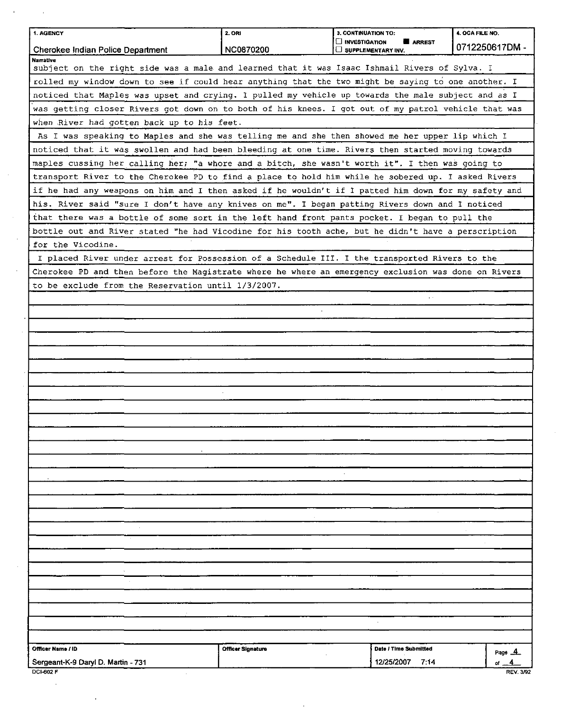| 1. AGENCY                                                                                                         | 2. ORI            | 3. CONTINUATION TO:                                  | 4. OCA FILE NO.  |
|-------------------------------------------------------------------------------------------------------------------|-------------------|------------------------------------------------------|------------------|
| Cherokee Indian Police Department                                                                                 | NC0870200         | <b>INVESTIGATION</b><br>ARREST<br>SUPPLEMENTARY INV. | 0712250617DM -   |
| <b>Narrative</b><br>subject on the right side was a male and learned that it was Isaac Ishmail Rivers of Sylva. I |                   |                                                      |                  |
| rolled my window down to see if could hear anything that the two might be saying to one another. I                |                   |                                                      |                  |
| noticed that Maples was upset and crying. I pulled my vehicle up towards the male subject and as I                |                   |                                                      |                  |
| was getting closer Rivers got down on to both of his knees. I got out of my patrol vehicle that was               |                   |                                                      |                  |
| when River had gotten back up to his feet.                                                                        |                   |                                                      |                  |
| As I was speaking to Maples and she was telling me and she then showed me her upper lip which I                   |                   |                                                      |                  |
| noticed that it was swollen and had been bleeding at one time. Rivers then started moving towards                 |                   |                                                      |                  |
| maples cussing her calling her; "a whore and a bitch, she wasn't worth it". I then was going to                   |                   |                                                      |                  |
| transport River to the Cherokee PD to find a place to hold him while he sobered up. I asked Rivers                |                   |                                                      |                  |
|                                                                                                                   |                   |                                                      |                  |
| if he had any weapons on him and I then asked if he wouldn't if I patted him down for my safety and               |                   |                                                      |                  |
| his. River said "sure I don't have any knives on me". I began patting Rivers down and I noticed                   |                   |                                                      |                  |
| that there was a bottle of some sort in the left hand front pants pocket. I began to pull the                     |                   |                                                      |                  |
| bottle out and River stated "he had Vicodine for his tooth ache, but he didn't have a perscription                |                   |                                                      |                  |
| for the Vicodine.                                                                                                 |                   |                                                      |                  |
| I placed River under arrest for Possession of a Schedule III. I the transported Rivers to the                     |                   |                                                      |                  |
| Cherokee PD and then before the Magistrate where he where an emergency exclusion was done on Rivers               |                   |                                                      |                  |
| to be exclude from the Reservation until 1/3/2007.                                                                |                   |                                                      |                  |
|                                                                                                                   |                   |                                                      |                  |
|                                                                                                                   |                   |                                                      |                  |
|                                                                                                                   |                   |                                                      |                  |
|                                                                                                                   |                   |                                                      |                  |
|                                                                                                                   |                   |                                                      |                  |
|                                                                                                                   |                   |                                                      |                  |
|                                                                                                                   |                   |                                                      |                  |
|                                                                                                                   |                   |                                                      |                  |
|                                                                                                                   |                   |                                                      |                  |
|                                                                                                                   |                   |                                                      |                  |
|                                                                                                                   |                   |                                                      |                  |
|                                                                                                                   |                   |                                                      |                  |
|                                                                                                                   |                   |                                                      |                  |
|                                                                                                                   |                   |                                                      |                  |
|                                                                                                                   |                   |                                                      |                  |
|                                                                                                                   |                   |                                                      |                  |
|                                                                                                                   |                   |                                                      |                  |
|                                                                                                                   |                   |                                                      |                  |
|                                                                                                                   |                   |                                                      |                  |
|                                                                                                                   |                   |                                                      |                  |
|                                                                                                                   |                   |                                                      |                  |
|                                                                                                                   |                   |                                                      |                  |
|                                                                                                                   |                   |                                                      |                  |
|                                                                                                                   |                   |                                                      |                  |
|                                                                                                                   |                   |                                                      |                  |
|                                                                                                                   |                   |                                                      |                  |
|                                                                                                                   |                   |                                                      |                  |
| Officer Name / ID                                                                                                 | Officer Signature | Date / Time Submitted                                | Page $A$ .       |
| Sergeant-K-9 Daryl D. Martin - 731<br><b>DCI-602 F</b>                                                            |                   | 12/25/2007<br>7:14                                   | <b>REV. 3/92</b> |

 $\mathcal{L}_{\text{max}}$  and  $\mathcal{L}_{\text{max}}$ 

 $\mathcal{A}^{\mathcal{A}}$ 

 $\sim$   $\sim$ 

 $\sim$   $\lambda$ 

 $\sim 10^7$ 

 $\bar{\mathcal{A}}$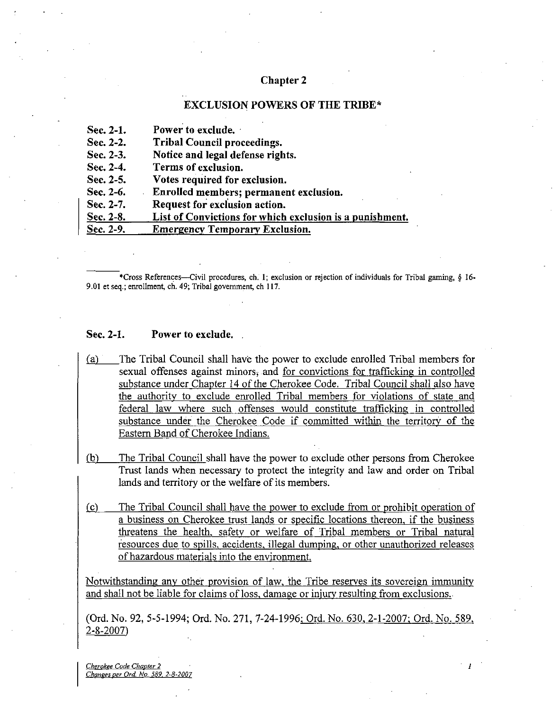# Chapter 2

#### EXCLUSION POWERS OF THE TRIBE\*

| Sec. 2-1.    | Power to exclude.                                        |
|--------------|----------------------------------------------------------|
| Sec. $2-2$ . | <b>Tribal Council proceedings.</b>                       |
| Sec. 2-3.    | Notice and legal defense rights.                         |
| Sec. 2-4.    | Terms of exclusion.                                      |
| Sec. 2-5.    | Votes required for exclusion.                            |
| Sec. 2-6.    | Enrolled members; permanent exclusion.                   |
| Sec. 2-7.    | Request for exclusion action.                            |
| Sec. 2-8.    | List of Convictions for which exclusion is a punishment. |
| Sec. 2-9.    | <b>Emergency Temporary Exclusion.</b>                    |

•Cross References—Civil procedures, ch. 1; exclusion or rejection of individuals for Tribal gaming, § 16- 9.01 et seq.; enrollment, ch. 49; Tribal government, ch 117.

#### Sec. 2-1. Power to exclude.

- (a) The Tribal Council shall have the power to exclude enrolled Tribal members for sexual offenses against minors, and for convictions for trafficking in controlled substance under Chapter 14 of the Cherokee Code. Tribal Council shall also have the authority to exclude enrolled Tribal members for violations of state and federal law where such offenses would constitute trafficking in controlled substance under the Cherokee Code if committed within the territory of the Eastem Band of Cherokee Indians.
- (b) The Tribal Council shall have the power to exclude other persons from Cherokee Trust lands when necessary to protect the integrity and law and order on Tribal lands and territory or the welfare of its members.
- (c) The Tribal Council shall have the power to exclude from or prohibit operation of a business on Cherokee trust lands or specific locations thereon, if the business threatens the health, safety or welfare of Tribal members or Tribal natural resources due to spills, accidents, illegal dumping, or other unauthorized releases of hazardous materials into the environment.

Notwithstanding any other provision of law, the Tribe reserves its sovereign immimity and shall not be liable for claims of loss, damage or injury resulting from exclusions.

(Ord. No. 92, 5-5-1994; Ord. No. 271, 7-24-1996: Ord. No. 630, 2-1-2007: Ord. No. 589,  $2 - 8 - 2007$ 

Cherokee Code Chapter 2 Chanees per Ord. No. 589. 2-8-2007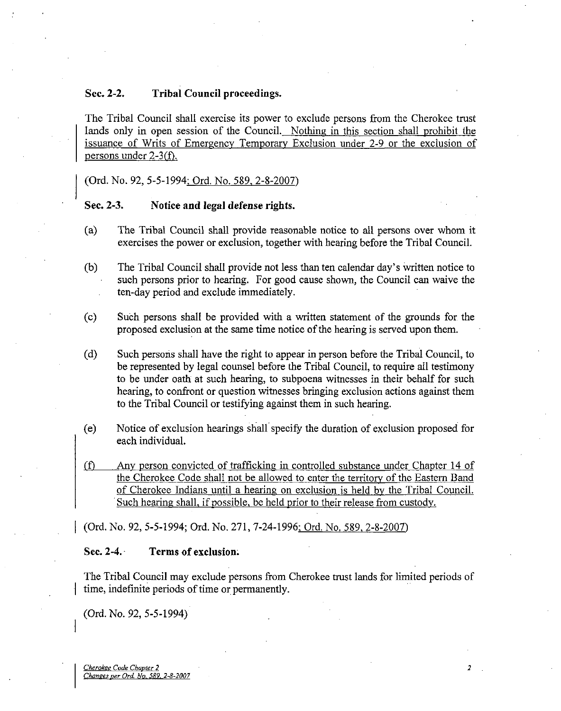# Sec. 2-2. Tribal Council proceedings.

The Tribal Council shall exercise its power to exclude persons from the Cherokee trust lands only in open session of the Council. Nothing in this section shall prohibit the issuance of Writs of Emergency Temporary Exclusion under 2-9 or the exclusion of persons under  $2-3(f)$ .

(Ord. No. 92, 5-5-1994; Ord. No. 589, 2-8-2007)

#### Sec. 2-3. Notice and legal defense rights.

- (a) The Tribal Council shall provide reasonable notice to all persons over whom it exercises the power or exclusion, together with hearing before the Tribal Council.
- (b) The Tribal Council shall provide not less than ten calendar day's written notice to such persons prior to hearing. For good cause shown, the Council can waive the ten-day period and exclude immediately.
- (c) Such persons shall be provided with a written statement of the grounds for the proposed exclusion at the same time notice of the hearing is served upon them.
- (d) Such persons shall have the right to appear in person before the Tribal Council, to be represented by legal counsel before the Tribal Council, to require all testimony to be under oath at such hearing, to subpoena witnesses in their behalf for such hearing, to confront or question witnesses bringing exclusion actions against them to the Tribal Council or testifying against them in such hearing.
- (e) Notice of exclusion hearings shall specify the duration of exclusion proposed for each individual.
- (f) Any person convicted of trafficking in controlled substance under Chapter 14 of the Cherokee Code shall not be allowed to enter the territory of the Eastern Band of Cherokee Indians until a hearing on exclusion is held by the Tribal Council. Such hearing shall, if possible, be held prior to their release from custody.

(Ord. No. 92, 5-5-1994; Ord. No. 271, 7-24-1996: Ord. No. 589. 2-8-2007)

#### Sec. 2-4. Terms of exclusion.

The Tribal Council may exclude persons from Cherokee trust lands for limited periods of time, indefinite periods of time or permanently.

 $\overline{a}$ 

(Ord.No. 92, 5-5-1994)

Cherokee Code Chapter 2 Changes per Ord. No. 589. 2-8-2007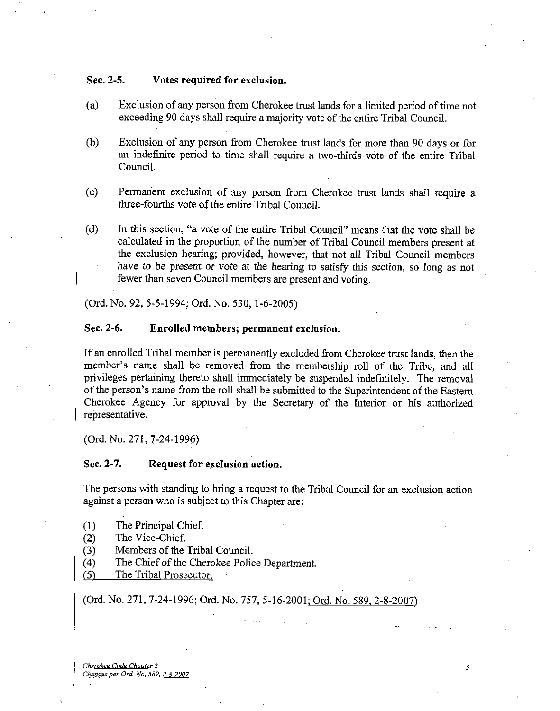### Sec. 2-5. Votes required for exclusion.

- (a) Exclusion of any person from Cherokee trust lands for a limited period of time not exceeding 90 days shall require a majority vote of the entire Tribal Council.
- (b) Exclusion of any person from Cherokee trust lands for more than 90 days or for an indefinite period to time shall require a two-thirds vote of the entire Tribal Council.
- (c) Permanent exclusion of any person from Cherokee trust lands shall require a three-fourths vote of the entire Tribal Council.
- (d) In this section, "a vote of the entire Tribal Council" means that the vote shall be calculated in the proportion of the number of Tribal Council members present at the exclusion hearing; provided, however, that not all Tribal Council members have to be present or vote at the hearing to satisfy this section, so long as not fewer than seven Council menibers are present and voting.

(Ord. No. 92, 5-5-1994; Ord. No. 530, 1-6-2005)

# Sec. 2-6. Enrolled members; permanent exclusion.

If an emolled Tribal member is permanently excluded from Cherokee trust lands, then the member's name shall be removed from the membership roll of the Tribe, and all privileges pertaining thereto shall immediately be suspended indefinitely. The removal of the person's name from the roll shall be submitted to the Superintendent of the Eastern Cherokee Agency for approval by the Secretary of the Interior or his authorized representative.

(Ord. No. 271, 7-24-1996)

#### Sec. 2-7. Request for exclusion action.

The persons with standing to bring a request to the Tribal Council for an exclusion action against a person who is subject to this Chapter are:

- (1) The Principal Chief
- (2) The Vice-Chief.
- (3) Members of the Tribal Council.
- (4) The Chief of the Cherokee Police Department.
- (5) The Tribal Prosecutor. •

(Ord. No. 271, 7-24-1996; Ord. No. 757, 5-16-2001: Ord. No. 589. 2-8-2007)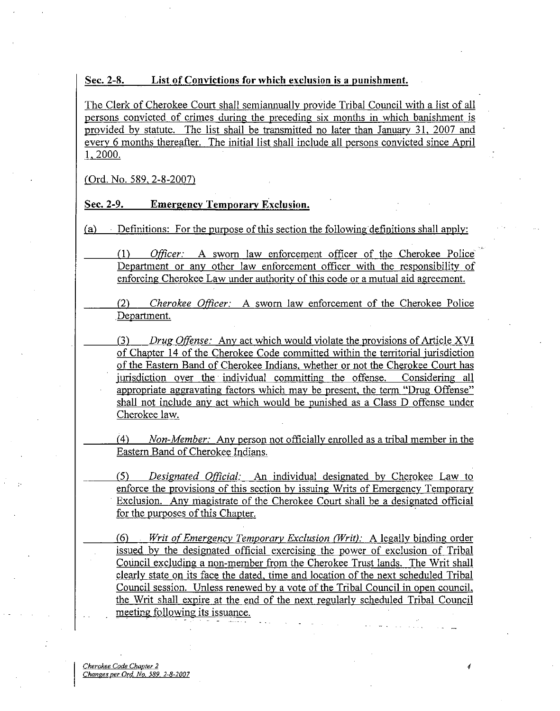### Sec. 2-8. List of Convictions for which exclusion is a punishment.

The Clerk of Cherokee Court shall semian ually provide Tribal Council with a list of all persons convicted of crimes during the preceding six months in which banishment is provided by statute. The list shall be transmitted no later than January 31, 2007 and every 6 months thereafter. The initial list shall include all persons convicted since April 1,2000.

(Ord. No. 589. 2-8-2007)

# Sec. 2-9. Emergency Temporary Exclusion.

(a) Definitions: For the purpose of this section the following definitions shall apply:

(1) Officer: A swom law enforcement officer of the Cherokee Police Department or any other law enforcement officer with the responsibility of enforcing Cherokee Law under authority of this code or a mutual aid agreement.

(2) Cherokee Officer: A swom law enforcement of the Cherokee Police .Department.

(3) Drug Offense: Any act which would violate the provisions of Article XVI of Chapter 14 ofthe Cherokee Code committed within the territorial jurisdiction of the Eastem Band of Cherokee Indians, whether or not the Cherokee Court has jurisdiction over the individual committing the offense. Considering all appropriate aggravating factors which may be present, the term "Drug Offense" shall not include any act which would be punished as a Class D offense under Cherokee law.

 $(4)$  Non-Member: Any person not officially enrolled as a tribal member in the Eastem Band of Cherokee Indians.

(5) Designated Official: An individual designated by Cherokee Law to enforce the provisions of this section by issuing Writs of Emergency Temporary Exclusion. Any magistrate of the Cherokee Court shall be a designated official for the purposes of this Chapter.

(6) Writ of Emergency Temporary Exclusion (Writ): A legally binding order issued by the designated official exercising the power of exclusion of Tribal Council excluding a non-member from the Cherokee Trust lands. The Writ shall clearly state on its face the dated, time and location of the next scheduled Tribal Council session. Unless renewed by a vote of the Tribal Council in open council, the Writ shall expire at the end of the next regularly scheduled Tribal Council meeting following its issuance.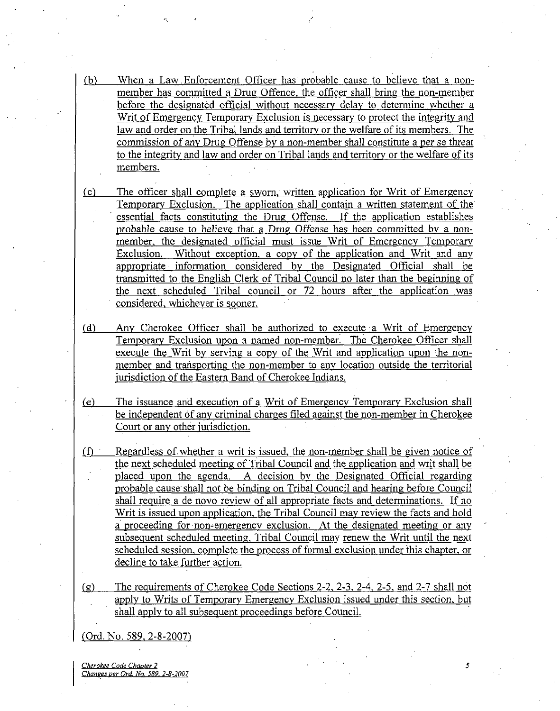- (b) When a Law. Enforcement Officer has probable cause to believe that a nonmember has committed a Drug Offence, the officer shall bring the non-member before the designated official without necessary delay to determine whether a Writ of Emergency Temporary Exclusion is necessary to protect the integrity and law and order on the Tribal lands and territory or the welfare of its members. The commission of any Drug Offense by a non-member shall constitute a per se threat to the integrity and law and order on Tribal lands and territory or the welfare of its members.
- (c) The officer shall complete a swom, written application for Writ of Emergency Temporary Exclusion. The application shall contain a written statement of the essential facts constituting the Drug Offense. If the application establishes probable cause to believe that a Drug Offense has been committed by a nonmember, the designated official must issue Writ of Emergency Temporary Exclusion. Without exception, a copy of the application and Writ and any appropriate information considered by the Designated Official shall be transmitted to the English Clerk of Tribal Council no later than the beginning of the next scheduled Tribal council or 72 hours after the application was considered, whichever is sooner.
- (d) Any Cherokee Officer shall be authorized to execute a Writ of Emergency Temporary Exclusion upon a named non-member. The Cherokee Officer shall execute the Writ by serving a copy of the Writ and application upon the nonmember and transporting the non-member to any location outside the territorial jurisdiction of the Eastern Band of Cherokee Indians.
- (e) The issuance and execution of a Writ of Emergency Temporary Exclusion shall be independent of any criminal charges filed against the non-member in Cherokee Court or any other jurisdiction.
- (f) Regardless of whether a writ is issued, the non-member shall be given notice of the next scheduled meeting of Tribal Council and the application and writ shall be placed upon the agenda. A decision by the Designated Official regarding probable cause shall not be binding on Tribal Council and hearing before Council shall require a de novo review of all appropriate facts and determinations. If no Writ is issued upon application, the Tribal Council may review the facts and hold a proceeding for non-emergency exclusion. At the designated meeting or any subsequent scheduled meeting. Tribal Council may renew the Writ until the next scheduled session, complete the process of formal exclusion under this chapter, or decline to take further action.
- (g) The requirements of Cherokee Code Sections  $2-2$ ,  $2-3$ ,  $2-4$ ,  $2-5$ , and  $2-7$  shall not apply to Writs of Temporary Emergency Exclusion issued under this section, but shall apply to all subsequent proceedings before Council.

(Ord. No. 589, 2-8-2007)

Cherokee Code Chapter 2 5 Changes per Ord. No. 589, 2-8-2007